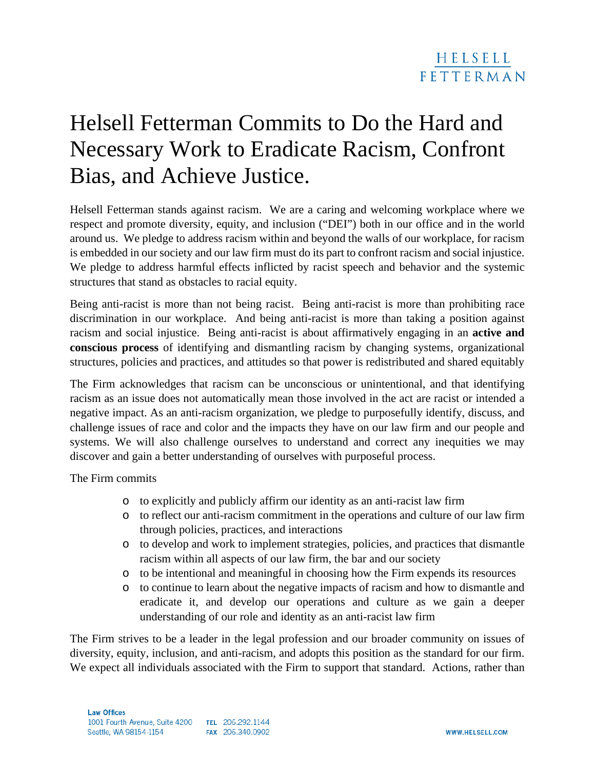## Helsell Fetterman Commits to Do the Hard and Necessary Work to Eradicate Racism, Confront Bias, and Achieve Justice.

Helsell Fetterman stands against racism. We are a caring and welcoming workplace where we respect and promote diversity, equity, and inclusion ("DEI") both in our office and in the world around us. We pledge to address racism within and beyond the walls of our workplace, for racism is embedded in our society and our law firm must do its part to confront racism and social injustice. We pledge to address harmful effects inflicted by racist speech and behavior and the systemic structures that stand as obstacles to racial equity.

Being anti-racist is more than not being racist. Being anti-racist is more than prohibiting race discrimination in our workplace. And being anti-racist is more than taking a position against racism and social injustice. Being anti-racist is about affirmatively engaging in an **active and conscious process** of identifying and dismantling racism by changing systems, organizational structures, policies and practices, and attitudes so that power is redistributed and shared equitably

The Firm acknowledges that racism can be unconscious or unintentional, and that identifying racism as an issue does not automatically mean those involved in the act are racist or intended a negative impact. As an anti-racism organization, we pledge to purposefully identify, discuss, and challenge issues of race and color and the impacts they have on our law firm and our people and systems. We will also challenge ourselves to understand and correct any inequities we may discover and gain a better understanding of ourselves with purposeful process.

The Firm commits

- o to explicitly and publicly affirm our identity as an anti-racist law firm
- o to reflect our anti-racism commitment in the operations and culture of our law firm through policies, practices, and interactions
- o to develop and work to implement strategies, policies, and practices that dismantle racism within all aspects of our law firm, the bar and our society
- o to be intentional and meaningful in choosing how the Firm expends its resources
- o to continue to learn about the negative impacts of racism and how to dismantle and eradicate it, and develop our operations and culture as we gain a deeper understanding of our role and identity as an anti-racist law firm

The Firm strives to be a leader in the legal profession and our broader community on issues of diversity, equity, inclusion, and anti-racism, and adopts this position as the standard for our firm. We expect all individuals associated with the Firm to support that standard. Actions, rather than